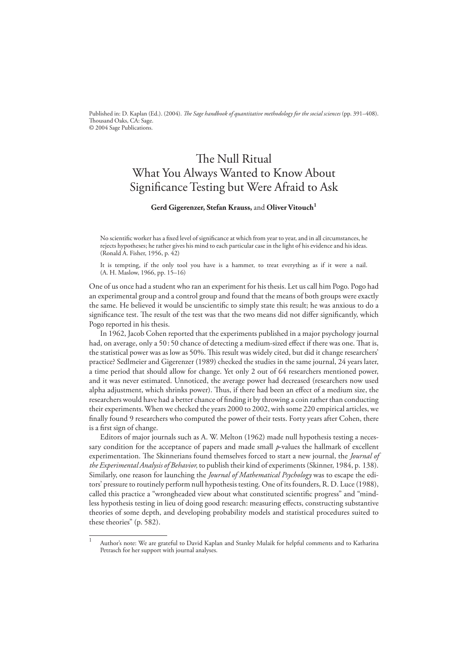Published in: D. Kaplan (Ed.). (2004). *The Sage handbook of quantitative methodology for the social sciences* (pp. 391–408). Thousand Oaks, CA: Sage. © 2004 Sage Publications.

# The Null Ritual What You Always Wanted to Know About Significance Testing but Were Afraid to Ask

#### Gerd Gigerenzer, Stefan Krauss, and Oliver Vitouch<sup>1</sup>

No scientific worker has a fixed level of significance at which from year to year, and in all circumstances, he rejects hypotheses; he rather gives his mind to each particular case in the light of his evidence and his ideas. (Ronald A. Fisher, 1956, p. 42)

It is tempting, if the only tool you have is a hammer, to treat everything as if it were a nail. (A. H. Maslow, 1966, pp. 15–16)

One of us once had a student who ran an experiment for his thesis. Let us call him Pogo. Pogo had an experimental group and a control group and found that the means of both groups were exactly the same. He believed it would be unscientific to simply state this result; he was anxious to do a significance test. The result of the test was that the two means did not differ significantly, which Pogo reported in his thesis.

In 1962, Jacob Cohen reported that the experiments published in a major psychology journal had, on average, only a 50:50 chance of detecting a medium-sized effect if there was one. That is, the statistical power was as low as 50%. This result was widely cited, but did it change researchers' practice? Sedlmeier and Gigerenzer (1989) checked the studies in the same journal, 24 years later, a time period that should allow for change. Yet only 2 out of 64 researchers mentioned power, and it was never estimated. Unnoticed, the average power had decreased (researchers now used alpha adjustment, which shrinks power). Thus, if there had been an effect of a medium size, the researchers would have had a better chance of finding it by throwing a coin rather than conducting their experiments. When we checked the years 2000 to 2002, with some 220 empirical articles, we finally found 9 researchers who computed the power of their tests. Forty years after Cohen, there is a first sign of change.

Editors of major journals such as A. W. Melton (1962) made null hypothesis testing a necessary condition for the acceptance of papers and made small *p*-values the hallmark of excellent experimentation. The Skinnerians found themselves forced to start a new journal, the *Journal of the Experimental Analysis of Behavior,* to publish their kind of experiments (Skinner, 1984, p. 138). Similarly, one reason for launching the *Journal of Mathematical Psychology* was to escape the editors' pressure to routinely perform null hypothesis testing. One of its founders, R. D. Luce (1988), called this practice a "wrongheaded view about what constituted scientific progress" and "mindless hypothesis testing in lieu of doing good research: measuring effects, constructing substantive theories of some depth, and developing probability models and statistical procedures suited to these theories" (p. 582).

<sup>1</sup> Author's note: We are grateful to David Kaplan and Stanley Mulaik for helpful comments and to Katharina Petrasch for her support with journal analyses.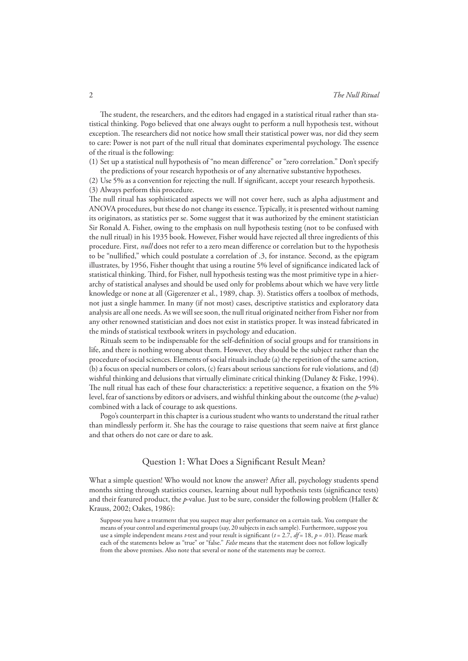#### 2 *The Null Ritual*

The student, the researchers, and the editors had engaged in a statistical ritual rather than statistical thinking. Pogo believed that one always ought to perform a null hypothesis test, without exception. The researchers did not notice how small their statistical power was, nor did they seem to care: Power is not part of the null ritual that dominates experimental psychology. The essence of the ritual is the following:

(1) Set up a statistical null hypothesis of "no mean difference" or "zero correlation." Don't specify the predictions of your research hypothesis or of any alternative substantive hypotheses.

(2) Use 5% as a convention for rejecting the null. If significant, accept your research hypothesis.

(3) Always perform this procedure.

The null ritual has sophisticated aspects we will not cover here, such as alpha adjustment and ANOVA procedures, but these do not change its essence. Typically, it is presented without naming its originators, as statistics per se. Some suggest that it was authorized by the eminent statistician Sir Ronald A. Fisher, owing to the emphasis on null hypothesis testing (not to be confused with the null ritual) in his 1935 book. However, Fisher would have rejected all three ingredients of this procedure. First, *null* does not refer to a zero mean difference or correlation but to the hypothesis to be "nullified," which could postulate a correlation of .3, for instance. Second, as the epigram illustrates, by 1956, Fisher thought that using a routine 5% level of significance indicated lack of statistical thinking. Third, for Fisher, null hypothesis testing was the most primitive type in a hierarchy of statistical analyses and should be used only for problems about which we have very little knowledge or none at all (Gigerenzer et al., 1989, chap. 3). Statistics offers a toolbox of methods, not just a single hammer. In many (if not most) cases, descriptive statistics and exploratory data analysis are all one needs. As we will see soon, the null ritual originated neither from Fisher nor from any other renowned statistician and does not exist in statistics proper. It was instead fabricated in the minds of statistical textbook writers in psychology and education.

Rituals seem to be indispensable for the self-definition of social groups and for transitions in life, and there is nothing wrong about them. However, they should be the subject rather than the procedure of social sciences. Elements of social rituals include (a) the repetition of the same action, (b) a focus on special numbers or colors, (c) fears about serious sanctions for rule violations, and (d) wishful thinking and delusions that virtually eliminate critical thinking (Dulaney & Fiske, 1994). The null ritual has each of these four characteristics: a repetitive sequence, a fixation on the 5% level, fear of sanctions by editors or advisers, and wishful thinking about the outcome (the *p*-value) combined with a lack of courage to ask questions.

Pogo's counterpart in this chapter is a curious student who wants to understand the ritual rather than mindlessly perform it. She has the courage to raise questions that seem naive at first glance and that others do not care or dare to ask.

#### Question 1: What Does a Significant Result Mean?

What a simple question! Who would not know the answer? After all, psychology students spend months sitting through statistics courses, learning about null hypothesis tests (significance tests) and their featured product, the *p*-value. Just to be sure, consider the following problem (Haller & Krauss, 2002; Oakes, 1986):

Suppose you have a treatment that you suspect may alter performance on a certain task. You compare the means of your control and experimental groups (say, 20 subjects in each sample). Furthermore, suppose you use a simple independent means *t*-test and your result is significant ( $t = 2.7$ ,  $df = 18$ ,  $p = .01$ ). Please mark each of the statements below as "true" or "false." *False* means that the statement does not follow logically from the above premises. Also note that several or none of the statements may be correct.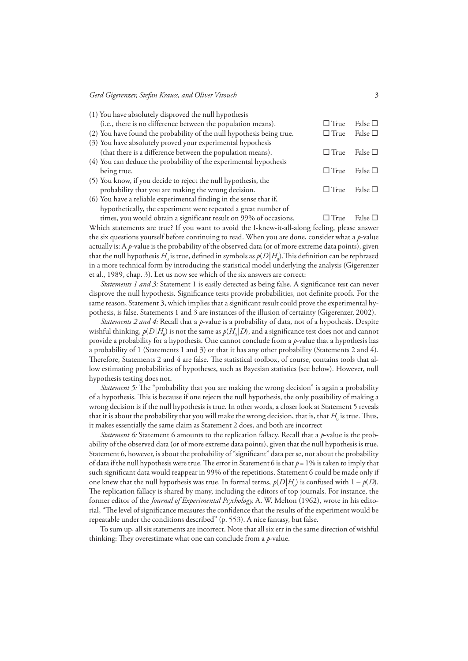| (1) You have absolutely disproved the null hypothesis                                                |             |                 |
|------------------------------------------------------------------------------------------------------|-------------|-----------------|
| (i.e., there is no difference between the population means).                                         | $\Box$ True | False $\square$ |
| (2) You have found the probability of the null hypothesis being true.                                | $\Box$ True | False $\square$ |
| (3) You have absolutely proved your experimental hypothesis                                          |             |                 |
| (that there is a difference between the population means).                                           | $\Box$ True | False $\square$ |
| (4) You can deduce the probability of the experimental hypothesis                                    |             |                 |
| being true.                                                                                          | $\Box$ True | False $\Box$    |
| (5) You know, if you decide to reject the null hypothesis, the                                       |             |                 |
| probability that you are making the wrong decision.                                                  | $\Box$ True | False $\Box$    |
| $\alpha$ V <sub>an</sub> known with $\Omega$ and $\Omega$ is a finite $\Omega$ in the state $\Omega$ |             |                 |

(6) You have a reliable experimental finding in the sense that if, hypothetically, the experiment were repeated a great number of times, you would obtain a significant result on 99% of occasions.  $\Box$  True False  $\Box$ 

Which statements are true? If you want to avoid the I-knew-it-all-along feeling, please answer the six questions yourself before continuing to read. When you are done, consider what a *p*-value actually is: A *p*-value is the probability of the observed data (or of more extreme data points), given that the null hypothesis  $H_0$  is true, defined in symbols as  $p(D|H_0)$ . This definition can be rephrased in a more technical form by introducing the statistical model underlying the analysis (Gigerenzer et al., 1989, chap. 3). Let us now see which of the six answers are correct:

*Statements 1 and 3:* Statement 1 is easily detected as being false. A significance test can never disprove the null hypothesis. Significance tests provide probabilities, not definite proofs. For the same reason, Statement 3, which implies that a significant result could prove the experimental hypothesis, is false. Statements 1 and 3 are instances of the illusion of certainty (Gigerenzer, 2002).

*Statements 2 and 4:* Recall that a *p*-value is a probability of data, not of a hypothesis. Despite wishful thinking,  $p(D|H_0)$  is not the same as  $p(H_0|D)$ , and a significance test does not and cannot provide a probability for a hypothesis. One cannot conclude from a *p*-value that a hypothesis has a probability of 1 (Statements 1 and 3) or that it has any other probability (Statements 2 and 4). Therefore, Statements 2 and 4 are false. The statistical toolbox, of course, contains tools that allow estimating probabilities of hypotheses, such as Bayesian statistics (see below). However, null hypothesis testing does not.

*Statement 5:* The "probability that you are making the wrong decision" is again a probability of a hypothesis. This is because if one rejects the null hypothesis, the only possibility of making a wrong decision is if the null hypothesis is true. In other words, a closer look at Statement 5 reveals that it is about the probability that you will make the wrong decision, that is, that  $H_{_0}$  is true. Thus, it makes essentially the same claim as Statement 2 does, and both are incorrect

*Statement 6:* Statement 6 amounts to the replication fallacy. Recall that a *p*-value is the probability of the observed data (or of more extreme data points), given that the null hypothesis is true. Statement 6, however, is about the probability of "significant" data per se, not about the probability of data if the null hypothesis were true. The error in Statement 6 is that  $p = 1\%$  is taken to imply that such significant data would reappear in 99% of the repetitions. Statement 6 could be made only if one knew that the null hypothesis was true. In formal terms,  $p(D|H_0)$  is confused with  $1 - p(D)$ . The replication fallacy is shared by many, including the editors of top journals. For instance, the former editor of the *Journal of Experimental Psychology,* A. W. Melton (1962), wrote in his editorial, "The level of significance measures the confidence that the results of the experiment would be repeatable under the conditions described" (p. 553). A nice fantasy, but false.

To sum up, all six statements are incorrect. Note that all six err in the same direction of wishful thinking: They overestimate what one can conclude from a *p*-value.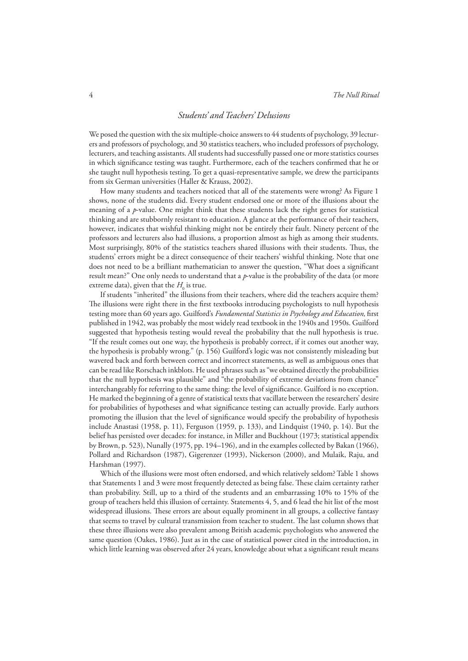#### *Students' and Teachers' Delusions*

We posed the question with the six multiple-choice answers to 44 students of psychology, 39 lecturers and professors of psychology, and 30 statistics teachers, who included professors of psychology, lecturers, and teaching assistants. All students had successfully passed one or more statistics courses in which significance testing was taught. Furthermore, each of the teachers confirmed that he or she taught null hypothesis testing. To get a quasi-representative sample, we drew the participants from six German universities (Haller & Krauss, 2002).

How many students and teachers noticed that all of the statements were wrong? As Figure 1 shows, none of the students did. Every student endorsed one or more of the illusions about the meaning of a *p*-value. One might think that these students lack the right genes for statistical thinking and are stubbornly resistant to education. A glance at the performance of their teachers, however, indicates that wishful thinking might not be entirely their fault. Ninety percent of the professors and lecturers also had illusions, a proportion almost as high as among their students. Most surprisingly, 80% of the statistics teachers shared illusions with their students. Thus, the students' errors might be a direct consequence of their teachers' wishful thinking. Note that one does not need to be a brilliant mathematician to answer the question, "What does a significant result mean?" One only needs to understand that a *p*-value is the probability of the data (or more extreme data), given that the  $H_0$  is true.

If students "inherited" the illusions from their teachers, where did the teachers acquire them? The illusions were right there in the first textbooks introducing psychologists to null hypothesis testing more than 60 years ago. Guilford's *Fundamental Statistics in Psychology and Education*, first published in 1942, was probably the most widely read textbook in the 1940s and 1950s. Guilford suggested that hypothesis testing would reveal the probability that the null hypothesis is true. "If the result comes out one way, the hypothesis is probably correct, if it comes out another way, the hypothesis is probably wrong." (p. 156) Guilford's logic was not consistently misleading but wavered back and forth between correct and incorrect statements, as well as ambiguous ones that can be read like Rorschach inkblots. He used phrases such as "we obtained directly the probabilities that the null hypothesis was plausible" and "the probability of extreme deviations from chance" interchangeably for referring to the same thing: the level of significance. Guilford is no exception. He marked the beginning of a genre of statistical texts that vacillate between the researchers' desire for probabilities of hypotheses and what significance testing can actually provide. Early authors promoting the illusion that the level of significance would specify the probability of hypothesis include Anastasi (1958, p. 11), Ferguson (1959, p. 133), and Lindquist (1940, p. 14). But the belief has persisted over decades: for instance, in Miller and Buckhout (1973; statistical appendix by Brown, p. 523), Nunally (1975, pp. 194–196), and in the examples collected by Bakan (1966), Pollard and Richardson (1987), Gigerenzer (1993), Nickerson (2000), and Mulaik, Raju, and Harshman (1997).

Which of the illusions were most often endorsed, and which relatively seldom? Table 1 shows that Statements 1 and 3 were most frequently detected as being false. These claim certainty rather than probability. Still, up to a third of the students and an embarrassing 10% to 15% of the group of teachers held this illusion of certainty. Statements 4, 5, and 6 lead the hit list of the most widespread illusions. These errors are about equally prominent in all groups, a collective fantasy that seems to travel by cultural transmission from teacher to student. The last column shows that these three illusions were also prevalent among British academic psychologists who answered the same question (Oakes, 1986). Just as in the case of statistical power cited in the introduction, in which little learning was observed after 24 years, knowledge about what a significant result means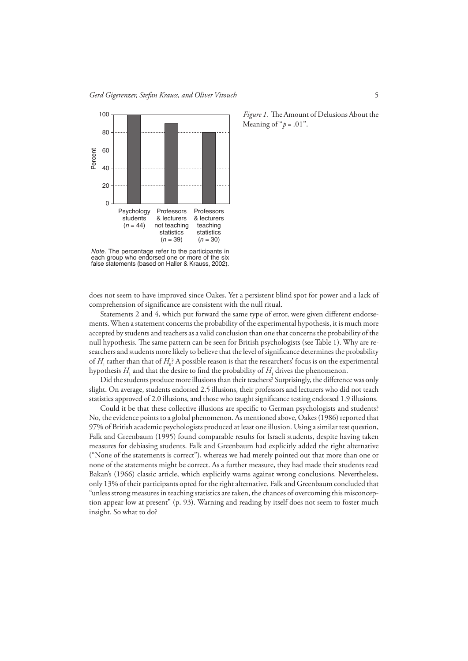

*Note.* The percentage refer to the participants in each group who endorsed one or more of the six false statements (based on Haller & Krauss, 2002).

does not seem to have improved since Oakes. Yet a persistent blind spot for power and a lack of comprehension of significance are consistent with the null ritual.

Statements 2 and 4, which put forward the same type of error, were given different endorsements. When a statement concerns the probability of the experimental hypothesis, it is much more accepted by students and teachers as a valid conclusion than one that concerns the probability of the null hypothesis. The same pattern can be seen for British psychologists (see Table 1). Why are researchers and students more likely to believe that the level of significance determines the probability of  $H_1$  rather than that of  $H_0$ ? A possible reason is that the researchers' focus is on the experimental hypothesis  $H_1$  and that the desire to find the probability of  $H_1$  drives the phenomenon.

Did the students produce more illusions than their teachers? Surprisingly, the difference was only slight. On average, students endorsed 2.5 illusions, their professors and lecturers who did not teach statistics approved of 2.0 illusions, and those who taught significance testing endorsed 1.9 illusions.

Could it be that these collective illusions are specific to German psychologists and students? No, the evidence points to a global phenomenon. As mentioned above, Oakes (1986) reported that 97% of British academic psychologists produced at least one illusion. Using a similar test question, Falk and Greenbaum (1995) found comparable results for Israeli students, despite having taken measures for debiasing students. Falk and Greenbaum had explicitly added the right alternative ("None of the statements is correct"), whereas we had merely pointed out that more than one or none of the statements might be correct. As a further measure, they had made their students read Bakan's (1966) classic article, which explicitly warns against wrong conclusions. Nevertheless, only 13% of their participants opted for the right alternative. Falk and Greenbaum concluded that "unless strong measures in teaching statistics are taken, the chances of overcoming this misconception appear low at present" (p. 93). Warning and reading by itself does not seem to foster much insight. So what to do?

Figure 1. The Amount of Delusions About the Meaning of " $p = .01$ ".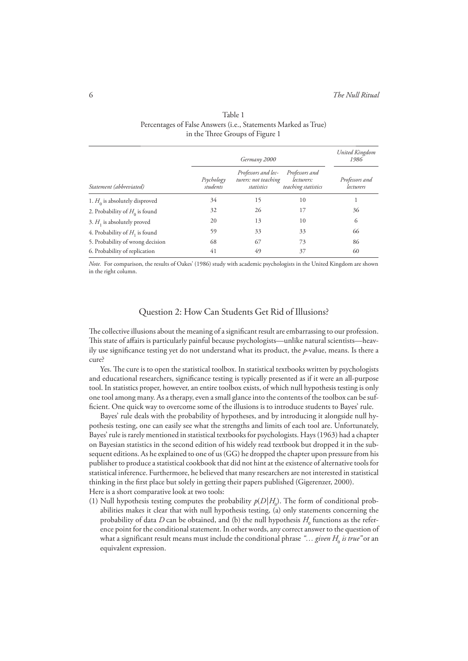|                                  | Germany 2000           |                                                           |                                                     | United Kingdom<br>1986      |  |
|----------------------------------|------------------------|-----------------------------------------------------------|-----------------------------------------------------|-----------------------------|--|
| Statement (abbreviated)          | Psychology<br>students | Professors and lec-<br>turers: not teaching<br>statistics | Professors and<br>lecturers:<br>teaching statistics | Professors and<br>lecturers |  |
| 1. $H_0$ is absolutely disproved | 34                     | 15                                                        | 10                                                  |                             |  |
| 2. Probability of $H_0$ is found | 32                     | 26                                                        | 17                                                  | 36                          |  |
| 3. $H1$ is absolutely proved     | 20                     | 13                                                        | 10                                                  | 6                           |  |
| 4. Probability of $H_1$ is found | 59                     | 33                                                        | 33                                                  | 66                          |  |
| 5. Probability of wrong decision | 68                     | 67                                                        | 73                                                  | 86                          |  |
| 6. Probability of replication    | 41                     | 49                                                        | 37                                                  | 60                          |  |

# Table 1 Percentages of False Answers (i.e., Statements Marked as True) in the Three Groups of Figure 1

*Note.* For comparison, the results of Oakes' (1986) study with academic psychologists in the United Kingdom are shown in the right column.

#### Question 2: How Can Students Get Rid of Illusions?

The collective illusions about the meaning of a significant result are embarrassing to our profession. This state of affairs is particularly painful because psychologists—unlike natural scientists—heavily use significance testing yet do not understand what its product, the *p*-value, means. Is there a cure?

Yes. The cure is to open the statistical toolbox. In statistical textbooks written by psychologists and educational researchers, significance testing is typically presented as if it were an all-purpose tool. In statistics proper, however, an entire toolbox exists, of which null hypothesis testing is only one tool among many. As a therapy, even a small glance into the contents of the toolbox can be sufficient. One quick way to overcome some of the illusions is to introduce students to Bayes' rule.

Bayes' rule deals with the probability of hypotheses, and by introducing it alongside null hypothesis testing, one can easily see what the strengths and limits of each tool are. Unfortunately, Bayes' rule is rarely mentioned in statistical textbooks for psychologists. Hays (1963) had a chapter on Bayesian statistics in the second edition of his widely read textbook but dropped it in the subsequent editions. As he explained to one of us (GG) he dropped the chapter upon pressure from his publisher to produce a statistical cookbook that did not hint at the existence of alternative tools for statistical inference. Furthermore, he believed that many researchers are not interested in statistical thinking in the first place but solely in getting their papers published (Gigerenzer, 2000). Here is a short comparative look at two tools:

(1) Null hypothesis testing computes the probability  $p(D|H_0)$ . The form of conditional probabilities makes it clear that with null hypothesis testing, (a) only statements concerning the probability of data  $D$  can be obtained, and (b) the null hypothesis  $H_0$  functions as the reference point for the conditional statement. In other words, any correct answer to the question of what a significant result means must include the conditional phrase *"… given*  $H_{_0}$  *is true"* or an equivalent expression.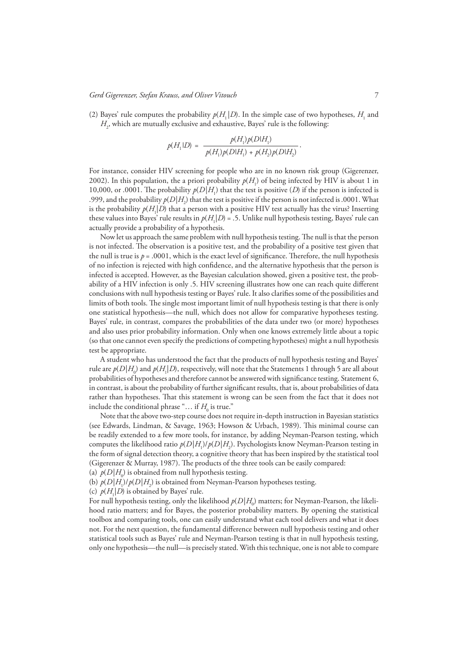#### *Gerd Gigerenzer, Stefan Krauss, and Oliver Vitouch* 7

(2) Bayes' rule computes the probability  $p(H_1|D)$ . In the simple case of two hypotheses,  $H_1$  and  $H$ <sub>2</sub>, which are mutually exclusive and exhaustive, Bayes' rule is the following:

$$
p(H_1|D) = \frac{p(H_1)p(D|H_1)}{p(H_1)p(D|H_1) + p(H_2)p(D|H_2)}
$$

.

For instance, consider HIV screening for people who are in no known risk group (Gigerenzer, 2002). In this population, the a priori probability  $p(H_1)$  of being infected by HIV is about 1 in 10,000, or .0001. The probability  $p(D|H_1)$  that the test is positive (*D*) if the person is infected is .999, and the probability  $p(D|H_2)$  that the test is positive if the person is not infected is .0001. What is the probability  $p(H_1|D)$  that a person with a positive HIV test actually has the virus? Inserting these values into Bayes' rule results in  $p(H_1|D) = .5$ . Unlike null hypothesis testing, Bayes' rule can actually provide a probability of a hypothesis.

Now let us approach the same problem with null hypothesis testing. The null is that the person is not infected. The observation is a positive test, and the probability of a positive test given that the null is true is  $p = .0001$ , which is the exact level of significance. Therefore, the null hypothesis of no infection is rejected with high confidence, and the alternative hypothesis that the person is infected is accepted. However, as the Bayesian calculation showed, given a positive test, the probability of a HIV infection is only .5. HIV screening illustrates how one can reach quite different conclusions with null hypothesis testing or Bayes' rule. It also clarifies some of the possibilities and limits of both tools. The single most important limit of null hypothesis testing is that there is only one statistical hypothesis—the null, which does not allow for comparative hypotheses testing. Bayes' rule, in contrast, compares the probabilities of the data under two (or more) hypotheses and also uses prior probability information. Only when one knows extremely little about a topic (so that one cannot even specify the predictions of competing hypotheses) might a null hypothesis test be appropriate.

A student who has understood the fact that the products of null hypothesis testing and Bayes' rule are  $p(D|H_0)$  and  $p(H_1|D)$ , respectively, will note that the Statements 1 through 5 are all about probabilities of hypotheses and therefore cannot be answered with significance testing. Statement 6, in contrast, is about the probability of further significant results, that is, about probabilities of data rather than hypotheses. That this statement is wrong can be seen from the fact that it does not include the conditional phrase " $\dots$  if  $H_{_{\!0}}$  is true."

Note that the above two-step course does not require in-depth instruction in Bayesian statistics (see Edwards, Lindman, & Savage, 1963; Howson & Urbach, 1989). This minimal course can be readily extended to a few more tools, for instance, by adding Neyman-Pearson testing, which computes the likelihood ratio  $p(D|H_1)/p(D|H_2)$ . Psychologists know Neyman-Pearson testing in the form of signal detection theory, a cognitive theory that has been inspired by the statistical tool (Gigerenzer & Murray, 1987). The products of the three tools can be easily compared:

(a)  $p(D|H_0)$  is obtained from null hypothesis testing.

(b)  $p(D|H_1)/p(D|H_2)$  is obtained from Neyman-Pearson hypotheses testing.

(c)  $p(H_1|D)$  is obtained by Bayes' rule.

For null hypothesis testing, only the likelihood  $p(D|H_0)$  matters; for Neyman-Pearson, the likelihood ratio matters; and for Bayes, the posterior probability matters. By opening the statistical toolbox and comparing tools, one can easily understand what each tool delivers and what it does not. For the next question, the fundamental difference between null hypothesis testing and other statistical tools such as Bayes' rule and Neyman-Pearson testing is that in null hypothesis testing, only one hypothesis—the null—is precisely stated. With this technique, one is not able to compare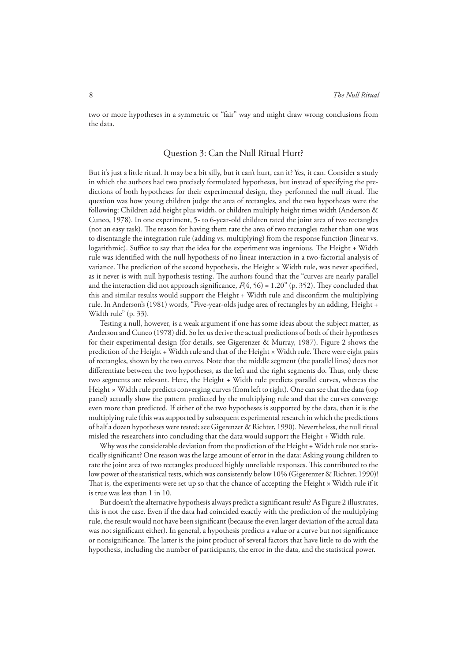two or more hypotheses in a symmetric or "fair" way and might draw wrong conclusions from the data.

#### Question 3: Can the Null Ritual Hurt?

But it's just a little ritual. It may be a bit silly, but it can't hurt, can it? Yes, it can. Consider a study in which the authors had two precisely formulated hypotheses, but instead of specifying the predictions of both hypotheses for their experimental design, they performed the null ritual. The question was how young children judge the area of rectangles, and the two hypotheses were the following: Children add height plus width, or children multiply height times width (Anderson & Cuneo, 1978). In one experiment, 5- to 6-year-old children rated the joint area of two rectangles (not an easy task). The reason for having them rate the area of two rectangles rather than one was to disentangle the integration rule (adding vs. multiplying) from the response function (linear vs. logarithmic). Suffice to say that the idea for the experiment was ingenious. The Height + Width rule was identified with the null hypothesis of no linear interaction in a two-factorial analysis of variance. The prediction of the second hypothesis, the Height x Width rule, was never specified, as it never is with null hypothesis testing. The authors found that the "curves are nearly parallel and the interaction did not approach significance,  $F(4, 56) = 1.20"$  (p. 352). They concluded that this and similar results would support the Height + Width rule and disconfirm the multiplying rule. In Anderson's (1981) words, "Five-year-olds judge area of rectangles by an adding, Height + Width rule" (p. 33).

Testing a null, however, is a weak argument if one has some ideas about the subject matter, as Anderson and Cuneo (1978) did. So let us derive the actual predictions of both of their hypotheses for their experimental design (for details, see Gigerenzer & Murray, 1987). Figure 2 shows the prediction of the Height  $+$  Width rule and that of the Height  $\times$  Width rule. There were eight pairs of rectangles, shown by the two curves. Note that the middle segment (the parallel lines) does not differentiate between the two hypotheses, as the left and the right segments do. Thus, only these two segments are relevant. Here, the Height + Width rule predicts parallel curves, whereas the Height × Width rule predicts converging curves (from left to right). One can see that the data (top panel) actually show the pattern predicted by the multiplying rule and that the curves converge even more than predicted. If either of the two hypotheses is supported by the data, then it is the multiplying rule (this was supported by subsequent experimental research in which the predictions of half a dozen hypotheses were tested; see Gigerenzer & Richter, 1990). Nevertheless, the null ritual misled the researchers into concluding that the data would support the Height + Width rule.

Why was the considerable deviation from the prediction of the Height + Width rule not statistically significant? One reason was the large amount of error in the data: Asking young children to rate the joint area of two rectangles produced highly unreliable responses. This contributed to the low power of the statistical tests, which was consistently below 10% (Gigerenzer & Richter, 1990)! That is, the experiments were set up so that the chance of accepting the Height x Width rule if it is true was less than 1 in 10.

But doesn't the alternative hypothesis always predict a significant result? As Figure 2 illustrates, this is not the case. Even if the data had coincided exactly with the prediction of the multiplying rule, the result would not have been significant (because the even larger deviation of the actual data was not significant either). In general, a hypothesis predicts a value or a curve but not significance or nonsignificance. The latter is the joint product of several factors that have little to do with the hypothesis, including the number of participants, the error in the data, and the statistical power.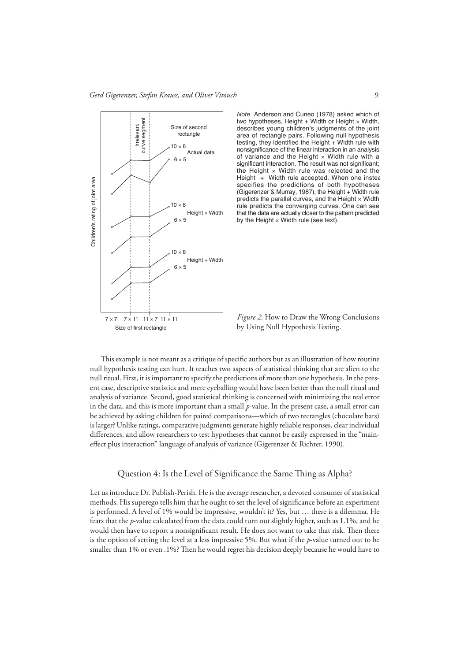

*Note.* Anderson and Cuneo (1978) asked which of two hypotheses, Height + Width or Height  $\times$  Width, describes young children's judgments of the joint area of rectangle pairs. Following null hypothesis testing, they identified the Height + Width rule with nonsignificance of the linear interaction in an analysis of variance and the Height  $\times$  Width rule with a significant interaction. The result was not significant; the Height  $\times$  Width rule was rejected and the Height + Width rule accepted. When one instea specifies the predictions of both hypotheses (Gigerenzer & Murray, 1987), the Height + Width rule predicts the parallel curves, and the Height  $\times$  Width rule predicts the converging curves. One can see that the data are actually closer to the pattern predicted by the Height  $\times$  Width rule (see text).

*Figure 2.* How to Draw the Wrong Conclusions by Using Null Hypothesis Testing.

This example is not meant as a critique of specific authors but as an illustration of how routine null hypothesis testing can hurt. It teaches two aspects of statistical thinking that are alien to the null ritual. First, it is important to specify the predictions of more than one hypothesis. In the present case, descriptive statistics and mere eyeballing would have been better than the null ritual and analysis of variance. Second, good statistical thinking is concerned with minimizing the real error in the data, and this is more important than a small *p*-value. In the present case, a small error can be achieved by asking children for paired comparisons—which of two rectangles (chocolate bars) is larger? Unlike ratings, comparative judgments generate highly reliable responses, clear individual differences, and allow researchers to test hypotheses that cannot be easily expressed in the "maineffect plus interaction" language of analysis of variance (Gigerenzer & Richter, 1990).

#### Question 4: Is the Level of Significance the Same Thing as Alpha?

Let us introduce Dr. Publish-Perish. He is the average researcher, a devoted consumer of statistical methods. His superego tells him that he ought to set the level of significance before an experiment is performed. A level of 1% would be impressive, wouldn't it? Yes, but … there is a dilemma. He fears that the *p*-value calculated from the data could turn out slightly higher, such as 1.1%, and he would then have to report a nonsignificant result. He does not want to take that risk. Then there is the option of setting the level at a less impressive 5%. But what if the *p*-value turned out to be smaller than 1% or even .1%? Then he would regret his decision deeply because he would have to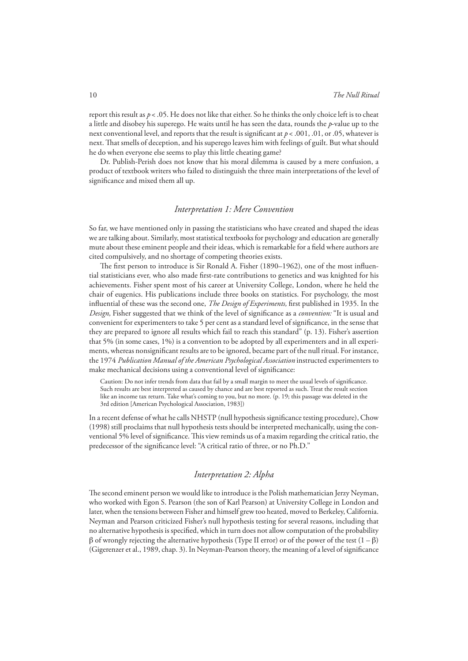report this result as *p* < .05. He does not like that either. So he thinks the only choice left is to cheat a little and disobey his superego. He waits until he has seen the data, rounds the *p*-value up to the next conventional level, and reports that the result is significant at  $p < .001, .01,$  or  $.05$ , whatever is next. That smells of deception, and his superego leaves him with feelings of guilt. But what should he do when everyone else seems to play this little cheating game?

Dr. Publish-Perish does not know that his moral dilemma is caused by a mere confusion, a product of textbook writers who failed to distinguish the three main interpretations of the level of significance and mixed them all up.

#### *Interpretation 1: Mere Convention*

So far, we have mentioned only in passing the statisticians who have created and shaped the ideas we are talking about. Similarly, most statistical textbooks for psychology and education are generally mute about these eminent people and their ideas, which is remarkable for a field where authors are cited compulsively, and no shortage of competing theories exists.

The first person to introduce is Sir Ronald A. Fisher (1890–1962), one of the most influential statisticians ever, who also made first-rate contributions to genetics and was knighted for his achievements. Fisher spent most of his career at University College, London, where he held the chair of eugenics. His publications include three books on statistics. For psychology, the most influential of these was the second one, *The Design of Experiments*, first published in 1935. In the *Design*, Fisher suggested that we think of the level of significance as a *convention*: "It is usual and convenient for experimenters to take 5 per cent as a standard level of significance, in the sense that they are prepared to ignore all results which fail to reach this standard" (p. 13). Fisher's assertion that 5% (in some cases, 1%) is a convention to be adopted by all experimenters and in all experiments, whereas nonsignificant results are to be ignored, became part of the null ritual. For instance, the 1974 *Publication Manual of the American Psychological Association* instructed experimenters to make mechanical decisions using a conventional level of significance:

Caution: Do not infer trends from data that fail by a small margin to meet the usual levels of significance. Such results are best interpreted as caused by chance and are best reported as such. Treat the result section like an income tax return. Take what's coming to you, but no more. (p. 19; this passage was deleted in the 3rd edition [American Psychological Association, 1983])

In a recent defense of what he calls NHSTP (null hypothesis significance testing procedure), Chow (1998) still proclaims that null hypothesis tests should be interpreted mechanically, using the conventional 5% level of significance. This view reminds us of a maxim regarding the critical ratio, the predecessor of the significance level: "A critical ratio of three, or no Ph.D."

## *Interpretation 2: Alpha*

The second eminent person we would like to introduce is the Polish mathematician Jerzy Neyman, who worked with Egon S. Pearson (the son of Karl Pearson) at University College in London and later, when the tensions between Fisher and himself grew too heated, moved to Berkeley, California. Neyman and Pearson criticized Fisher's null hypothesis testing for several reasons, including that no alternative hypothesis is specified, which in turn does not allow computation of the probability  $β$  of wrongly rejecting the alternative hypothesis (Type II error) or of the power of the test  $(1 - β)$ (Gigerenzer et al., 1989, chap. 3). In Neyman-Pearson theory, the meaning of a level of significance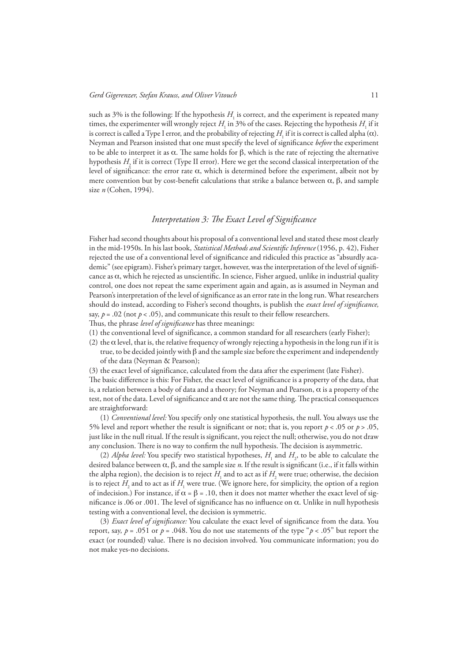such as 3% is the following: If the hypothesis  $H_{\rm l}$  is correct, and the experiment is repeated many times, the experimenter will wrongly reject  $H_{\text{i}}$  in 3% of the cases. Rejecting the hypothesis  $H_{\text{i}}$  if it is correct is called a Type I error, and the probability of rejecting  $H_1$  if it is correct is called alpha (α). Neyman and Pearson insisted that one must specify the level of significance *before* the experiment to be able to interpret it as  $\alpha$ . The same holds for  $\beta$ , which is the rate of rejecting the alternative hypothesis  $H_{2}$  if it is correct (Type II error). Here we get the second classical interpretation of the level of significance: the error rate  $\alpha$ , which is determined before the experiment, albeit not by mere convention but by cost-benefit calculations that strike a balance between  $\alpha$ ,  $\beta$ , and sample size *n* (Cohen, 1994).

## *Interpretation 3: The Exact Level of Significance*

Fisher had second thoughts about his proposal of a conventional level and stated these most clearly in the mid-1950s. In his last book, *Statistical Methods and Scientific Inference* (1956, p. 42), Fisher rejected the use of a conventional level of significance and ridiculed this practice as "absurdly academic" (see epigram). Fisher's primary target, however, was the interpretation of the level of signifi cance as  $\alpha$ , which he rejected as unscientific. In science, Fisher argued, unlike in industrial quality control, one does not repeat the same experiment again and again, as is assumed in Neyman and Pearson's interpretation of the level of significance as an error rate in the long run. What researchers should do instead, according to Fisher's second thoughts, is publish the *exact level of signifi cance,* say,  $p = .02$  (not  $p < .05$ ), and communicate this result to their fellow researchers. Thus, the phrase *level of significance* has three meanings:

- (1) the conventional level of significance, a common standard for all researchers (early Fisher);
- (2) the  $\alpha$  level, that is, the relative frequency of wrongly rejecting a hypothesis in the long run if it is true, to be decided jointly with β and the sample size before the experiment and independently of the data (Neyman & Pearson);
- (3) the exact level of significance, calculated from the data after the experiment (late Fisher).

The basic difference is this: For Fisher, the exact level of significance is a property of the data, that is, a relation between a body of data and a theory; for Neyman and Pearson,  $\alpha$  is a property of the test, not of the data. Level of significance and  $\alpha$  are not the same thing. The practical consequences are straightforward:

(1) *Conventional level:* You specify only one statistical hypothesis, the null. You always use the 5% level and report whether the result is significant or not; that is, you report  $p < .05$  or  $p > .05$ , just like in the null ritual. If the result is significant, you reject the null; otherwise, you do not draw any conclusion. There is no way to confirm the null hypothesis. The decision is asymmetric.

(2) *Alpha level:* You specify two statistical hypotheses,  $H_1$  and  $H_2$ , to be able to calculate the desired balance between  $\alpha$ ,  $\beta$ , and the sample size *n*. If the result is significant (i.e., if it falls within the alpha region), the decision is to reject  $H_{\text{1}}$  and to act as if  $H_{\text{2}}$  were true; otherwise, the decision is to reject  $H_2$  and to act as if  $H_1$  were true. (We ignore here, for simplicity, the option of a region of indecision.) For instance, if  $\alpha = \beta = .10$ , then it does not matter whether the exact level of significance is .06 or .001. The level of significance has no influence on α. Unlike in null hypothesis testing with a conventional level, the decision is symmetric.

(3) *Exact level of significance:* You calculate the exact level of significance from the data. You report, say,  $p = .051$  or  $p = .048$ . You do not use statements of the type " $p < .05$ " but report the exact (or rounded) value. There is no decision involved. You communicate information; you do not make yes-no decisions.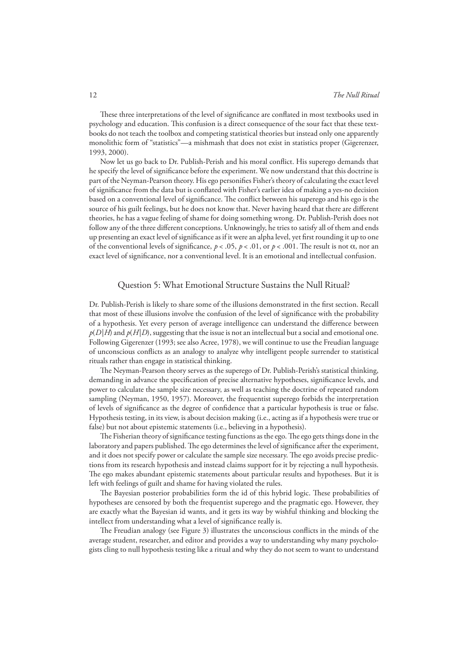These three interpretations of the level of significance are conflated in most textbooks used in psychology and education. This confusion is a direct consequence of the sour fact that these textbooks do not teach the toolbox and competing statistical theories but instead only one apparently monolithic form of "statistics"—a mishmash that does not exist in statistics proper (Gigerenzer, 1993, 2000).

Now let us go back to Dr. Publish-Perish and his moral conflict. His superego demands that he specify the level of significance before the experiment. We now understand that this doctrine is part of the Neyman-Pearson theory. His ego personifies Fisher's theory of calculating the exact level of significance from the data but is conflated with Fisher's earlier idea of making a yes-no decision based on a conventional level of significance. The conflict between his superego and his ego is the source of his guilt feelings, but he does not know that. Never having heard that there are different theories, he has a vague feeling of shame for doing something wrong. Dr. Publish-Perish does not follow any of the three different conceptions. Unknowingly, he tries to satisfy all of them and ends up presenting an exact level of significance as if it were an alpha level, yet first rounding it up to one of the conventional levels of significance,  $p < .05$ ,  $p < .01$ , or  $p < .001$ . The result is not  $\alpha$ , nor an exact level of significance, nor a conventional level. It is an emotional and intellectual confusion.

#### Question 5: What Emotional Structure Sustains the Null Ritual?

Dr. Publish-Perish is likely to share some of the illusions demonstrated in the first section. Recall that most of these illusions involve the confusion of the level of significance with the probability of a hypothesis. Yet every person of average intelligence can understand the difference between *p*(*D* |*H*) and *p*(*H* |*D*), suggesting that the issue is not an intellectual but a social and emotional one. Following Gigerenzer (1993; see also Acree, 1978), we will continue to use the Freudian language of unconscious conflicts as an analogy to analyze why intelligent people surrender to statistical rituals rather than engage in statistical thinking.

The Neyman-Pearson theory serves as the superego of Dr. Publish-Perish's statistical thinking, demanding in advance the specification of precise alternative hypotheses, significance levels, and power to calculate the sample size necessary, as well as teaching the doctrine of repeated random sampling (Neyman, 1950, 1957). Moreover, the frequentist superego forbids the interpretation of levels of significance as the degree of confidence that a particular hypothesis is true or false. Hypothesis testing, in its view, is about decision making (i.e., acting as if a hypothesis were true or false) but not about epistemic statements (i.e., believing in a hypothesis).

The Fisherian theory of significance testing functions as the ego. The ego gets things done in the laboratory and papers published. The ego determines the level of significance after the experiment, and it does not specify power or calculate the sample size necessary. The ego avoids precise predictions from its research hypothesis and instead claims support for it by rejecting a null hypothesis. The ego makes abundant epistemic statements about particular results and hypotheses. But it is left with feelings of guilt and shame for having violated the rules.

The Bayesian posterior probabilities form the id of this hybrid logic. These probabilities of hypotheses are censored by both the frequentist superego and the pragmatic ego. However, they are exactly what the Bayesian id wants, and it gets its way by wishful thinking and blocking the intellect from understanding what a level of significance really is.

The Freudian analogy (see Figure 3) illustrates the unconscious conflicts in the minds of the average student, researcher, and editor and provides a way to understanding why many psychologists cling to null hypothesis testing like a ritual and why they do not seem to want to understand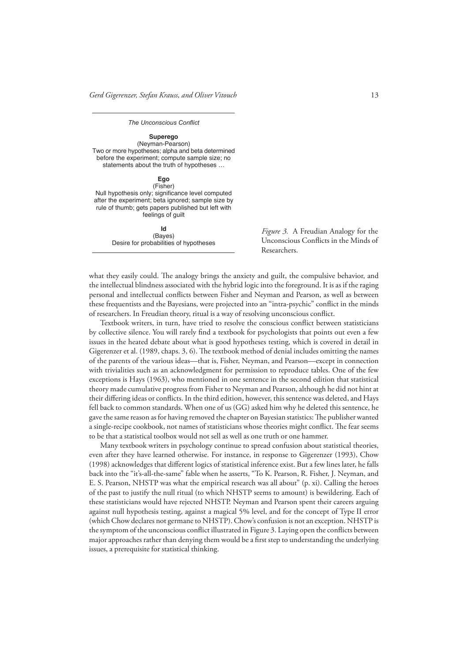*The Unconscious Conflict*

**Superego** (Neyman-Pearson) Two or more hypotheses; alpha and beta determined before the experiment; compute sample size; no statements about the truth of hypotheses …

**Ego** (Fisher) Null hypothesis only; significance level computed after the experiment; beta ignored; sample size by rule of thumb; gets papers published but left with feelings of guilt

> **Id** (Bayes) Desire for probabilities of hypotheses

*Figure 3.* A Freudian Analogy for the Unconscious Conflicts in the Minds of Researchers.

what they easily could. The analogy brings the anxiety and guilt, the compulsive behavior, and the intellectual blindness associated with the hybrid logic into the foreground. It is as if the raging personal and intellectual conflicts between Fisher and Neyman and Pearson, as well as between these frequentists and the Bayesians, were projected into an "intra-psychic" conflict in the minds of researchers. In Freudian theory, ritual is a way of resolving unconscious conflict.

Textbook writers, in turn, have tried to resolve the conscious conflict between statisticians by collective silence. You will rarely find a textbook for psychologists that points out even a few issues in the heated debate about what is good hypotheses testing, which is covered in detail in Gigerenzer et al. (1989, chaps. 3, 6). The textbook method of denial includes omitting the names of the parents of the various ideas—that is, Fisher, Neyman, and Pearson—except in connection with trivialities such as an acknowledgment for permission to reproduce tables. One of the few exceptions is Hays (1963), who mentioned in one sentence in the second edition that statistical theory made cumulative progress from Fisher to Neyman and Pearson, although he did not hint at their differing ideas or conflicts. In the third edition, however, this sentence was deleted, and Hays fell back to common standards. When one of us (GG) asked him why he deleted this sentence, he gave the same reason as for having removed the chapter on Bayesian statistics: The publisher wanted a single-recipe cookbook, not names of statisticians whose theories might conflict. The fear seems to be that a statistical toolbox would not sell as well as one truth or one hammer.

Many textbook writers in psychology continue to spread confusion about statistical theories, even after they have learned otherwise. For instance, in response to Gigerenzer (1993), Chow (1998) acknowledges that different logics of statistical inference exist. But a few lines later, he falls back into the "it's-all-the-same" fable when he asserts, "To K. Pearson, R. Fisher, J. Neyman, and E. S. Pearson, NHSTP was what the empirical research was all about" (p. xi). Calling the heroes of the past to justify the null ritual (to which NHSTP seems to amount) is bewildering. Each of these statisticians would have rejected NHSTP. Neyman and Pearson spent their careers arguing against null hypothesis testing, against a magical 5% level, and for the concept of Type II error (which Chow declares not germane to NHSTP). Chow's confusion is not an exception. NHSTP is the symptom of the unconscious conflict illustrated in Figure 3. Laying open the conflicts between major approaches rather than denying them would be a first step to understanding the underlying issues, a prerequisite for statistical thinking.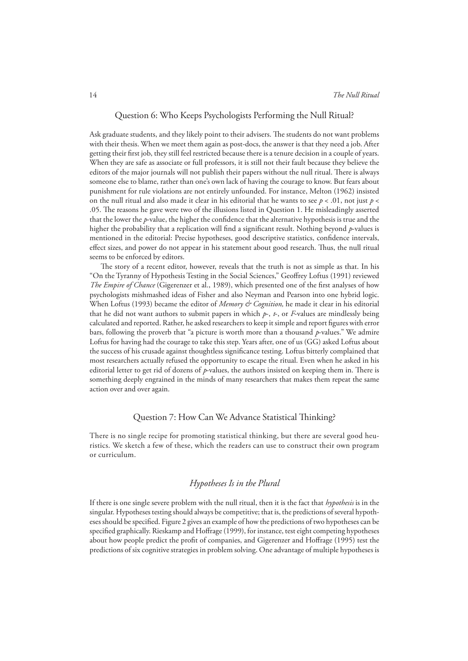# Question 6: Who Keeps Psychologists Performing the Null Ritual?

Ask graduate students, and they likely point to their advisers. The students do not want problems with their thesis. When we meet them again as post-docs, the answer is that they need a job. After getting their first job, they still feel restricted because there is a tenure decision in a couple of years. When they are safe as associate or full professors, it is still not their fault because they believe the editors of the major journals will not publish their papers without the null ritual. There is always someone else to blame, rather than one's own lack of having the courage to know. But fears about punishment for rule violations are not entirely unfounded. For instance, Melton (1962) insisted on the null ritual and also made it clear in his editorial that he wants to see  $p < .01$ , not just  $p <$ .05. The reasons he gave were two of the illusions listed in Question 1. He misleadingly asserted that the lower the *p*-value, the higher the confidence that the alternative hypothesis is true and the higher the probability that a replication will find a significant result. Nothing beyond *p*-values is mentioned in the editorial: Precise hypotheses, good descriptive statistics, confidence intervals, effect sizes, and power do not appear in his statement about good research. Thus, the null ritual seems to be enforced by editors.

The story of a recent editor, however, reveals that the truth is not as simple as that. In his "On the Tyranny of Hypothesis Testing in the Social Sciences," Geoffrey Loftus (1991) reviewed *The Empire of Chance* (Gigerenzer et al., 1989), which presented one of the first analyses of how psychologists mishmashed ideas of Fisher and also Neyman and Pearson into one hybrid logic. When Loftus (1993) became the editor of *Memory & Cognition,* he made it clear in his editorial that he did not want authors to submit papers in which  $p_+$ ,  $\tau$ , or *F*-values are mindlessly being calculated and reported. Rather, he asked researchers to keep it simple and report figures with error bars, following the proverb that "a picture is worth more than a thousand *p*-values." We admire Loftus for having had the courage to take this step. Years after, one of us (GG) asked Loftus about the success of his crusade against thoughtless significance testing. Loftus bitterly complained that most researchers actually refused the opportunity to escape the ritual. Even when he asked in his editorial letter to get rid of dozens of *p*-values, the authors insisted on keeping them in. There is something deeply engrained in the minds of many researchers that makes them repeat the same action over and over again.

## Question 7: How Can We Advance Statistical Thinking?

There is no single recipe for promoting statistical thinking, but there are several good heuristics. We sketch a few of these, which the readers can use to construct their own program or curriculum.

# *Hypotheses Is in the Plural*

If there is one single severe problem with the null ritual, then it is the fact that *hypothesis* is in the singular. Hypotheses testing should always be competitive; that is, the predictions of several hypotheses should be specified. Figure 2 gives an example of how the predictions of two hypotheses can be specified graphically. Rieskamp and Hoffrage (1999), for instance, test eight competing hypotheses about how people predict the profit of companies, and Gigerenzer and Hoffrage (1995) test the predictions of six cognitive strategies in problem solving. One advantage of multiple hypotheses is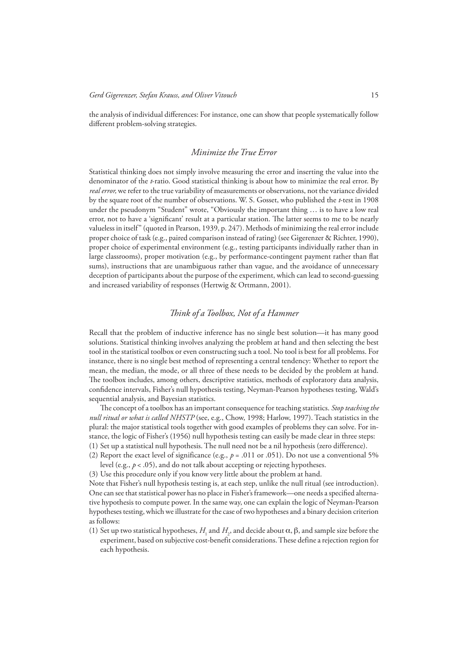the analysis of individual differences: For instance, one can show that people systematically follow different problem-solving strategies.

# *Minimize the True Error*

Statistical thinking does not simply involve measuring the error and inserting the value into the denominator of the *t*-ratio. Good statistical thinking is about how to minimize the real error. By *real error,* we refer to the true variability of measurements or observations, not the variance divided by the square root of the number of observations. W. S. Gosset, who published the *t*-test in 1908 under the pseudonym "Student" wrote, "Obviously the important thing … is to have a low real error, not to have a 'significant' result at a particular station. The latter seems to me to be nearly valueless in itself" (quoted in Pearson, 1939, p. 247). Methods of minimizing the real error include proper choice of task (e.g., paired comparison instead of rating) (see Gigerenzer & Richter, 1990), proper choice of experimental environment (e.g., testing participants individually rather than in large classrooms), proper motivation (e.g., by performance-contingent payment rather than flat sums), instructions that are unambiguous rather than vague, and the avoidance of unnecessary deception of participants about the purpose of the experiment, which can lead to second-guessing and increased variability of responses (Hertwig & Ortmann, 2001).

# *Th ink of a Toolbox, Not of a Hammer*

Recall that the problem of inductive inference has no single best solution—it has many good solutions. Statistical thinking involves analyzing the problem at hand and then selecting the best tool in the statistical toolbox or even constructing such a tool. No tool is best for all problems. For instance, there is no single best method of representing a central tendency: Whether to report the mean, the median, the mode, or all three of these needs to be decided by the problem at hand. The toolbox includes, among others, descriptive statistics, methods of exploratory data analysis, confidence intervals, Fisher's null hypothesis testing, Neyman-Pearson hypotheses testing, Wald's sequential analysis, and Bayesian statistics.

The concept of a toolbox has an important consequence for teaching statistics. *Stop teaching the null ritual or what is called NHSTP* (see, e.g., Chow, 1998; Harlow, 1997). Teach statistics in the plural: the major statistical tools together with good examples of problems they can solve. For instance, the logic of Fisher's (1956) null hypothesis testing can easily be made clear in three steps:

- (1) Set up a statistical null hypothesis. The null need not be a nil hypothesis (zero difference).
- (2) Report the exact level of significance (e.g.,  $p = .011$  or  $.051$ ). Do not use a conventional 5% level (e.g., *p* < .05), and do not talk about accepting or rejecting hypotheses.
- (3) Use this procedure only if you know very little about the problem at hand.

Note that Fisher's null hypothesis testing is, at each step, unlike the null ritual (see introduction). One can see that statistical power has no place in Fisher's framework—one needs a specified alternative hypothesis to compute power. In the same way, one can explain the logic of Neyman-Pearson hypotheses testing, which we illustrate for the case of two hypotheses and a binary decision criterion as follows:

(1) Set up two statistical hypotheses,  $H$ <sub>1</sub> and  $H$ <sub>2</sub>, and decide about α, β, and sample size before the experiment, based on subjective cost-benefit considerations. These define a rejection region for each hypothesis.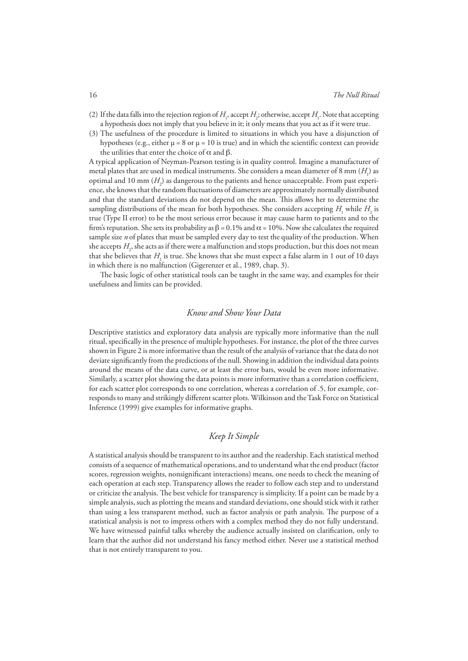- (2) If the data falls into the rejection region of  $H_1$ , accept  $H_2$ ; otherwise, accept  $H_1$ . Note that accepting a hypothesis does not imply that you believe in it; it only means that you act as if it were true.
- (3) The usefulness of the procedure is limited to situations in which you have a disjunction of hypotheses (e.g., either  $\mu = 8$  or  $\mu = 10$  is true) and in which the scientific context can provide the utilities that enter the choice of  $\alpha$  and  $\beta$ .

A typical application of Neyman-Pearson testing is in quality control. Imagine a manufacturer of metal plates that are used in medical instruments. She considers a mean diameter of 8 mm  $(H_{\rm l})$  as optimal and  $10$  mm  $(H<sub>2</sub>)$  as dangerous to the patients and hence unacceptable. From past experience, she knows that the random fluctuations of diameters are approximately normally distributed and that the standard deviations do not depend on the mean. This allows her to determine the sampling distributions of the mean for both hypotheses. She considers accepting  $H_{\text{\tiny{l}}}$  while  $H_{\text{\tiny{2}}}$  is true (Type II error) to be the most serious error because it may cause harm to patients and to the firm's reputation. She sets its probability as  $\beta = 0.1\%$  and  $\alpha = 10\%$ . Now she calculates the required sample size *n* of plates that must be sampled every day to test the quality of the production. When she accepts  $H_{2}^{}$ , she acts as if there were a malfunction and stops production, but this does not mean that she believes that  $H_{\scriptscriptstyle 2}$  is true. She knows that she must expect a false alarm in 1 out of 10 days in which there is no malfunction (Gigerenzer et al., 1989, chap. 3).

The basic logic of other statistical tools can be taught in the same way, and examples for their usefulness and limits can be provided.

#### *Know and Show Your Data*

Descriptive statistics and exploratory data analysis are typically more informative than the null ritual, specifically in the presence of multiple hypotheses. For instance, the plot of the three curves shown in Figure 2 is more informative than the result of the analysis of variance that the data do not deviate significantly from the predictions of the null. Showing in addition the individual data points around the means of the data curve, or at least the error bars, would be even more informative. Similarly, a scatter plot showing the data points is more informative than a correlation coefficient, for each scatter plot corresponds to one correlation, whereas a correlation of .5, for example, corresponds to many and strikingly different scatter plots. Wilkinson and the Task Force on Statistical Inference (1999) give examples for informative graphs.

# *Keep It Simple*

A statistical analysis should be transparent to its author and the readership. Each statistical method consists of a sequence of mathematical operations, and to understand what the end product (factor scores, regression weights, nonsignificant interactions) means, one needs to check the meaning of each operation at each step. Transparency allows the reader to follow each step and to understand or criticize the analysis. The best vehicle for transparency is simplicity. If a point can be made by a simple analysis, such as plotting the means and standard deviations, one should stick with it rather than using a less transparent method, such as factor analysis or path analysis. The purpose of a statistical analysis is not to impress others with a complex method they do not fully understand. We have witnessed painful talks whereby the audience actually insisted on clarification, only to learn that the author did not understand his fancy method either. Never use a statistical method that is not entirely transparent to you.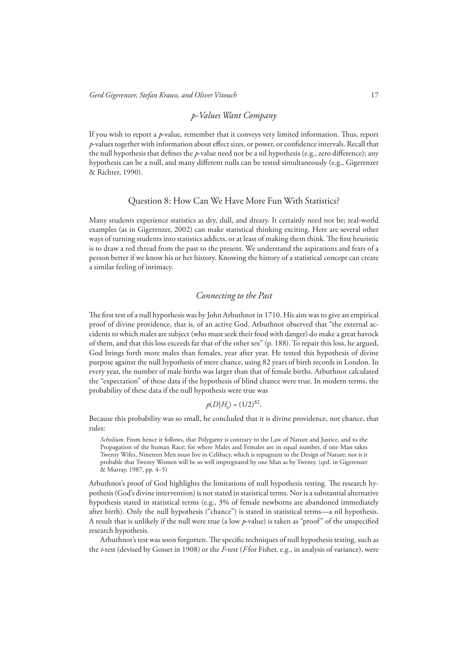# *p-Values Want Company*

If you wish to report a *p*-value, remember that it conveys very limited information. Thus, report *p*-values together with information about effect sizes, or power, or confidence intervals. Recall that the null hypothesis that defines the *p*-value need not be a nil hypothesis (e.g., zero difference); any hypothesis can be a null, and many different nulls can be tested simultaneously (e.g., Gigerenzer & Richter, 1990).

#### Question 8: How Can We Have More Fun With Statistics?

Many students experience statistics as dry, dull, and dreary. It certainly need not be; real-world examples (as in Gigerenzer, 2002) can make statistical thinking exciting. Here are several other ways of turning students into statistics addicts, or at least of making them think. The first heuristic is to draw a red thread from the past to the present. We understand the aspirations and fears of a person better if we know his or her history. Knowing the history of a statistical concept can create a similar feeling of intimacy.

# *Connecting to the Past*

The first test of a null hypothesis was by John Arbuthnot in 1710. His aim was to give an empirical proof of divine providence, that is, of an active God. Arbuthnot observed that "the external accidents to which males are subject (who must seek their food with danger) do make a great havock of them, and that this loss exceeds far that of the other sex" (p. 188). To repair this loss, he argued, God brings forth more males than females, year after year. He tested this hypothesis of divine purpose against the null hypothesis of mere chance, using 82 years of birth records in London. In every year, the number of male births was larger than that of female births. Arbuthnot calculated the "expectation" of these data if the hypothesis of blind chance were true. In modern terms, the probability of these data if the null hypothesis were true was

$$
p(D|H_0) = (1/2)^{82}.
$$

Because this probability was so small, he concluded that it is divine providence, not chance, that rules:

*Scholium.* From hence it follows, that Polygamy is contrary to the Law of Nature and Justice, and to the Propagation of the human Race; for where Males and Females are in equal number, if one Man takes Twenty Wifes, Nineteen Men must live in Celibacy, which is repugnant to the Design of Nature; nor is it probable that Twenty Women will be so well impregnated by one Man as by Twenty. (qtd. in Gigerenzer & Murray, 1987, pp. 4–5)

Arbuthnot's proof of God highlights the limitations of null hypothesis testing. The research hypothesis (God's divine intervention) is not stated in statistical terms. Nor is a substantial alternative hypothesis stated in statistical terms (e.g., 3% of female newborns are abandoned immediately after birth). Only the null hypothesis ("chance") is stated in statistical terms—a nil hypothesis. A result that is unlikely if the null were true (a low *p*-value) is taken as "proof" of the unspecified research hypothesis.

Arbuthnot's test was soon forgotten. The specific techniques of null hypothesis testing, such as the *t*-test (devised by Gosset in 1908) or the *F*-test (*F* for Fisher, e.g., in analysis of variance), were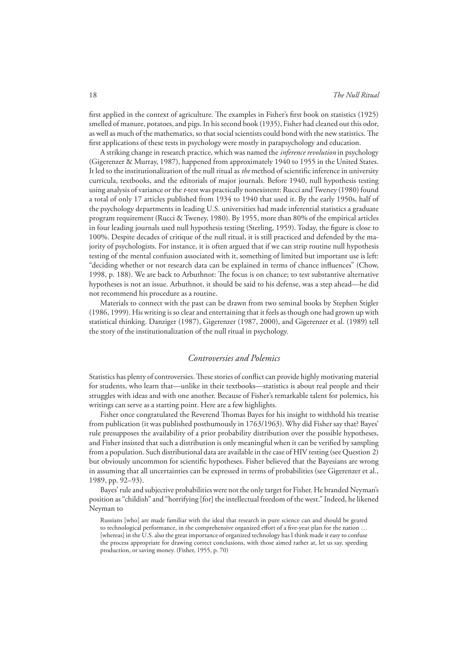first applied in the context of agriculture. The examples in Fisher's first book on statistics (1925) smelled of manure, potatoes, and pigs. In his second book (1935), Fisher had cleaned out this odor, as well as much of the mathematics, so that social scientists could bond with the new statistics. The first applications of these tests in psychology were mostly in parapsychology and education.

A striking change in research practice, which was named the *inference revolution* in psychology (Gigerenzer & Murray, 1987), happened from approximately 1940 to 1955 in the United States. It led to the institutionalization of the null ritual as *the* method of scientific inference in university curricula, textbooks, and the editorials of major journals. Before 1940, null hypothesis testing using analysis of variance or the *t*-test was practically nonexistent: Rucci and Tweney (1980) found a total of only 17 articles published from 1934 to 1940 that used it. By the early 1950s, half of the psychology departments in leading U.S. universities had made inferential statistics a graduate program requirement (Rucci & Tweney, 1980). By 1955, more than 80% of the empirical articles in four leading journals used null hypothesis testing (Sterling, 1959). Today, the figure is close to 100%. Despite decades of critique of the null ritual, it is still practiced and defended by the majority of psychologists. For instance, it is often argued that if we can strip routine null hypothesis testing of the mental confusion associated with it, something of limited but important use is left: "deciding whether or not research data can be explained in terms of chance influences" (Chow, 1998, p. 188). We are back to Arbuthnot: The focus is on chance; to test substantive alternative hypotheses is not an issue. Arbuthnot, it should be said to his defense, was a step ahead—he did not recommend his procedure as a routine.

Materials to connect with the past can be drawn from two seminal books by Stephen Stigler (1986, 1999). His writing is so clear and entertaining that it feels as though one had grown up with statistical thinking. Danziger (1987), Gigerenzer (1987, 2000), and Gigerenzer et al. (1989) tell the story of the institutionalization of the null ritual in psychology.

# *Controversies and Polemics*

Statistics has plenty of controversies. These stories of conflict can provide highly motivating material for students, who learn that—unlike in their textbooks—statistics is about real people and their struggles with ideas and with one another. Because of Fisher's remarkable talent for polemics, his writings can serve as a starting point. Here are a few highlights.

Fisher once congratulated the Reverend Thomas Bayes for his insight to withhold his treatise from publication (it was published posthumously in 1763/1963). Why did Fisher say that? Bayes' rule presupposes the availability of a prior probability distribution over the possible hypotheses, and Fisher insisted that such a distribution is only meaningful when it can be verified by sampling from a population. Such distributional data are available in the case of HIV testing (see Question 2) but obviously uncommon for scientific hypotheses. Fisher believed that the Bayesians are wrong in assuming that all uncertainties can be expressed in terms of probabilities (see Gigerenzer et al., 1989, pp. 92–93).

Bayes' rule and subjective probabilities were not the only target for Fisher. He branded Neyman's position as "childish" and "horrifying [for] the intellectual freedom of the west." Indeed, he likened Neyman to

Russians [who] are made familiar with the ideal that research in pure science can and should be geared to technological performance, in the comprehensive organized effort of a five-year plan for the nation ... [whereas] in the U.S. also the great importance of organized technology has I think made it easy to confuse the process appropriate for drawing correct conclusions, with those aimed rather at, let us say, speeding production, or saving money. (Fisher, 1955, p. 70)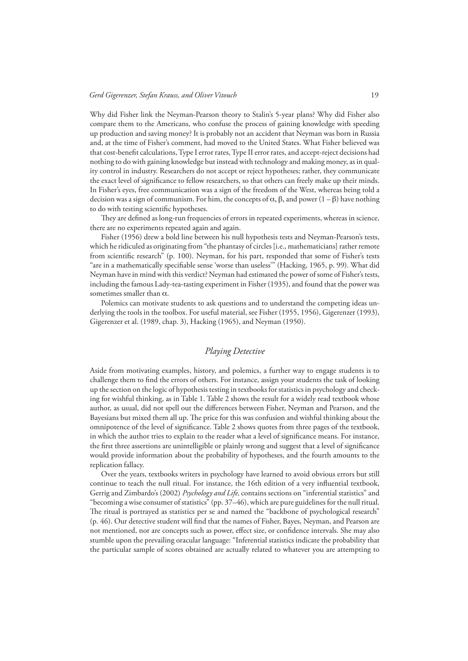Why did Fisher link the Neyman-Pearson theory to Stalin's 5-year plans? Why did Fisher also compare them to the Americans, who confuse the process of gaining knowledge with speeding up production and saving money? It is probably not an accident that Neyman was born in Russia and, at the time of Fisher's comment, had moved to the United States. What Fisher believed was that cost-benefi t calculations, Type I error rates, Type II error rates, and accept-reject decisions had nothing to do with gaining knowledge but instead with technology and making money, as in quality control in industry. Researchers do not accept or reject hypotheses; rather, they communicate the exact level of significance to fellow researchers, so that others can freely make up their minds. In Fisher's eyes, free communication was a sign of the freedom of the West, whereas being told a decision was a sign of communism. For him, the concepts of  $\alpha$ ,  $\beta$ , and power  $(1 - \beta)$  have nothing to do with testing scientific hypotheses.

They are defined as long-run frequencies of errors in repeated experiments, whereas in science, there are no experiments repeated again and again.

Fisher (1956) drew a bold line between his null hypothesis tests and Neyman-Pearson's tests, which he ridiculed as originating from "the phantasy of circles [i.e., mathematicians] rather remote from scientific research" (p. 100). Neyman, for his part, responded that some of Fisher's tests "are in a mathematically specifiable sense 'worse than useless'" (Hacking, 1965, p. 99). What did Neyman have in mind with this verdict? Neyman had estimated the power of some of Fisher's tests, including the famous Lady-tea-tasting experiment in Fisher (1935), and found that the power was sometimes smaller than  $\alpha$ .

Polemics can motivate students to ask questions and to understand the competing ideas underlying the tools in the toolbox. For useful material, see Fisher (1955, 1956), Gigerenzer (1993), Gigerenzer et al. (1989, chap. 3), Hacking (1965), and Neyman (1950).

## *Playing Detective*

Aside from motivating examples, history, and polemics, a further way to engage students is to challenge them to find the errors of others. For instance, assign your students the task of looking up the section on the logic of hypothesis testing in textbooks for statistics in psychology and checking for wishful thinking, as in Table 1. Table 2 shows the result for a widely read textbook whose author, as usual, did not spell out the differences between Fisher, Neyman and Pearson, and the Bayesians but mixed them all up. The price for this was confusion and wishful thinking about the omnipotence of the level of significance. Table 2 shows quotes from three pages of the textbook, in which the author tries to explain to the reader what a level of significance means. For instance, the first three assertions are unintelligible or plainly wrong and suggest that a level of significance would provide information about the probability of hypotheses, and the fourth amounts to the replication fallacy.

Over the years, textbooks writers in psychology have learned to avoid obvious errors but still continue to teach the null ritual. For instance, the 16th edition of a very influential textbook, Gerrig and Zimbardo's (2002) *Psychology and Life,* contains sections on "inferential statistics" and "becoming a wise consumer of statistics" (pp. 37–46), which are pure guidelines for the null ritual. The ritual is portrayed as statistics per se and named the "backbone of psychological research" (p. 46). Our detective student will find that the names of Fisher, Bayes, Neyman, and Pearson are not mentioned, nor are concepts such as power, effect size, or confidence intervals. She may also stumble upon the prevailing oracular language: "Inferential statistics indicate the probability that the particular sample of scores obtained are actually related to whatever you are attempting to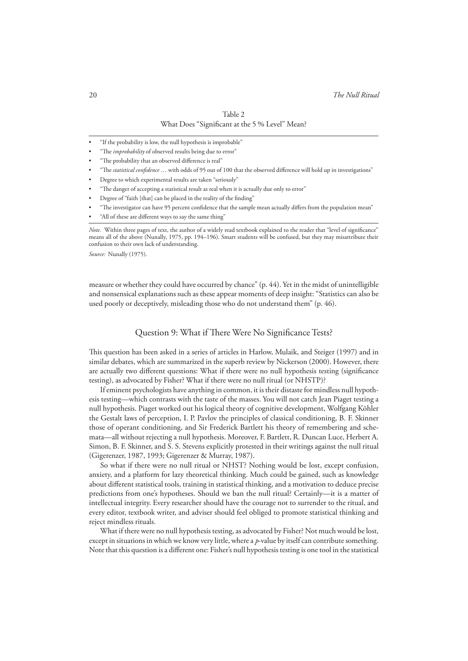| Table 2                                        |
|------------------------------------------------|
| What Does "Significant at the 5 % Level" Mean? |

- "If the probability is low, the null hypothesis is improbable"
- "The *improbability* of observed results being due to error"
- "The probability that an observed difference is real"
- "The *statistical confidence* ... with odds of 95 out of 100 that the observed difference will hold up in investigations'
- Degree to which experimental results are taken "seriously"
- "The danger of accepting a statistical result as real when it is actually due only to error"
- Degree of "faith [that] can be placed in the reality of the finding'
- "The investigator can have 95 percent confidence that the sample mean actually differs from the population mean"
- "All of these are different ways to say the same thing'

*Note.* Within three pages of text, the author of a widely read textbook explained to the reader that "level of significance" means all of the above (Nunally, 1975, pp. 194–196). Smart students will be confused, but they may misattribute their confusion to their own lack of understanding.

*Source:* Nunally (1975).

measure or whether they could have occurred by chance" (p. 44). Yet in the midst of unintelligible and nonsensical explanations such as these appear moments of deep insight: "Statistics can also be used poorly or deceptively, misleading those who do not understand them" (p. 46).

#### Question 9: What if There Were No Significance Tests?

This question has been asked in a series of articles in Harlow, Mulaik, and Steiger (1997) and in similar debates, which are summarized in the superb review by Nickerson (2000). However, there are actually two different questions: What if there were no null hypothesis testing (significance testing), as advocated by Fisher? What if there were no null ritual (or NHSTP)?

If eminent psychologists have anything in common, it is their distaste for mindless null hypothesis testing—which contrasts with the taste of the masses. You will not catch Jean Piaget testing a null hypothesis. Piaget worked out his logical theory of cognitive development, Wolfgang Köhler the Gestalt laws of perception, I. P. Pavlov the principles of classical conditioning, B. F. Skinner those of operant conditioning, and Sir Frederick Bartlett his theory of remembering and schemata—all without rejecting a null hypothesis. Moreover, F. Bartlett, R. Duncan Luce, Herbert A. Simon, B. F. Skinner, and S. S. Stevens explicitly protested in their writings against the null ritual (Gigerenzer, 1987, 1993; Gigerenzer & Murray, 1987).

So what if there were no null ritual or NHST? Nothing would be lost, except confusion, anxiety, and a platform for lazy theoretical thinking. Much could be gained, such as knowledge about different statistical tools, training in statistical thinking, and a motivation to deduce precise predictions from one's hypotheses. Should we ban the null ritual? Certainly—it is a matter of intellectual integrity. Every researcher should have the courage not to surrender to the ritual, and every editor, textbook writer, and adviser should feel obliged to promote statistical thinking and reject mindless rituals.

What if there were no null hypothesis testing, as advocated by Fisher? Not much would be lost, except in situations in which we know very little, where a *p*-value by itself can contribute something. Note that this question is a different one: Fisher's null hypothesis testing is one tool in the statistical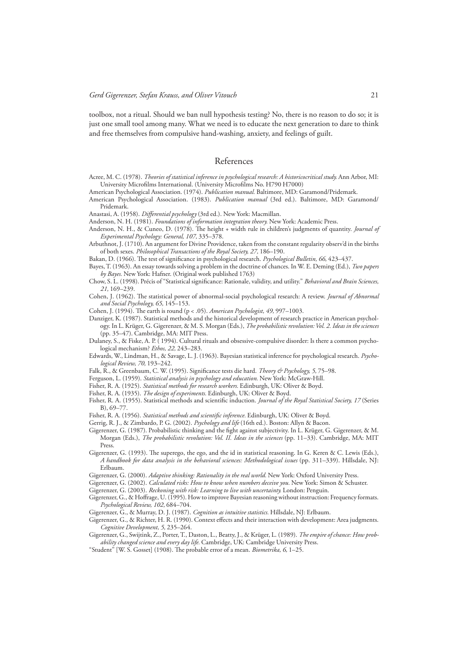toolbox, not a ritual. Should we ban null hypothesis testing? No, there is no reason to do so; it is just one small tool among many. What we need is to educate the next generation to dare to think and free themselves from compulsive hand-washing, anxiety, and feelings of guilt.

#### References

- Acree, M. C. (1978). *Theories of statistical inference in psychological research: A historicocritical study.* Ann Arbor, MI: University Microfilms International. (University Microfilms No. H790 H7000)
- American Psychological Association. (1974). *Publication manual.* Baltimore, MD: Garamond/Pridemark.
- American Psychological Association. (1983). *Publication manual* (3rd ed.). Baltimore, MD: Garamond/ Pridemark.
- Anastasi, A. (1958). *Differential psychology* (3rd ed.). New York: Macmillan.
- Anderson, N. H. (1981). *Foundations of information integration theory.* New York: Academic Press.
- Anderson, N. H., & Cuneo, D. (1978). The height + width rule in children's judgments of quantity. *Journal of Experimental Psychology: General, 107,* 335–378.
- Arbuthnot, J. (1710). An argument for Divine Providence, taken from the constant regularity observ'd in the births of both sexes. *Philosophical Transactions of the Royal Society, 27,* 186–190.
- Bakan, D. (1966). The test of significance in psychological research. *Psychological Bulletin, 66, 423–437*
- Bayes, T. (1963). An essay towards solving a problem in the doctrine of chances. In W. E. Deming (Ed.), *Two papers by Bayes.* New York: Hafner. (Original work published 1763)
- Chow, S. L. (1998). Précis of "Statistical significance: Rationale, validity, and utility." *Behavioral and Brain Sciences*, *21,* 169–239.
- Cohen, J. (1962). The statistical power of abnormal-social psychological research: A review. *Journal of Abnormal and Social Psychology, 65,* 145–153.
- Cohen, J. (1994). The earth is round (p < .05). *American Psychologist, 49*, 997-1003.
- Danziger, K. (1987). Statistical methods and the historical development of research practice in American psychology. In L. Krüger, G. Gigerenzer, & M. S. Morgan (Eds.), *The probabilistic revolution: Vol. 2. Ideas in the sciences* (pp. 35–47). Cambridge, MA: MIT Press.
- Dulaney, S., & Fiske, A. P. ( 1994). Cultural rituals and obsessive-compulsive disorder: Is there a common psychological mechanism? *Ethos, 22,* 243–283.
- Edwards, W., Lindman, H., & Savage, L. J. (1963). Bayesian statistical inference for psychological research. *Psychological Review, 70,* 193–242.
- Falk, R., & Greenbaum, C. W. (1995). Significance tests die hard. *Theory & Psychology, 5*, 75–98.
- Ferguson, L. (1959). *Statistical analysis in psychology and education.* New York: McGraw-Hill.
- Fisher, R. A. (1925). *Statistical methods for research workers.* Edinburgh, UK: Oliver & Boyd.
- Fisher, R. A. (1935). *The design of experiments.* Edinburgh, UK: Oliver & Boyd.
- Fisher, R. A. (1955). Statistical methods and scientific induction. *Journal of the Royal Statistical Society, 17* (Series B), 69–77.
- Fisher, R. A. (1956). *Statistical methods and scientific inference*. Edinburgh, UK: Oliver & Boyd.
- Gerrig, R. J., & Zimbardo, P. G. (2002). *Psychology and life* (16th ed.). Boston: Allyn & Bacon.
- Gigerenzer, G. (1987). Probabilistic thinking and the fight against subjectivity. In L. Krüger, G. Gigerenzer, & M. Morgan (Eds.), *The probabilistic revolution: Vol. II. Ideas in the sciences* (pp. 11–33). Cambridge, MA: MIT Press.
- Gigerenzer, G. (1993). The superego, the ego, and the id in statistical reasoning. In G. Keren & C. Lewis (Eds.), *A handbook for data analysis in the behavioral sciences: Methodological issues* (pp. 311–339). Hillsdale, NJ: Erlbaum.
- Gigerenzer, G. (2000). *Adaptive thinking: Rationality in the real world.* New York: Oxford University Press.
- Gigerenzer, G. (2002). *Calculated risks: How to know when numbers deceive you.* New York: Simon & Schuster.
- Gigerenzer, G. (2003). *Reckoning with risk: Learning to live with uncertainty.* London: Penguin.
- Gigerenzer, G., & Hoffrage, U. (1995). How to improve Bayesian reasoning without instruction: Frequency formats. *Psychological Review, 102,* 684–704.
- Gigerenzer, G., & Murray, D. J. (1987). *Cognition as intuitive statistics.* Hillsdale, NJ: Erlbaum.
- Gigerenzer, G., & Richter, H. R. (1990). Context effects and their interaction with development: Area judgments. *Cognitive Development, 5,* 235–264.
- Gigerenzer, G., Swijtink, Z., Porter, T., Daston, L., Beatty, J., & Krüger, L. (1989). *The empire of chance: How probability changed science and every day life.* Cambridge, UK: Cambridge University Press.
- "Student" [W. S. Gosset] (1908). The probable error of a mean. *Biometrika*, 6, 1-25.